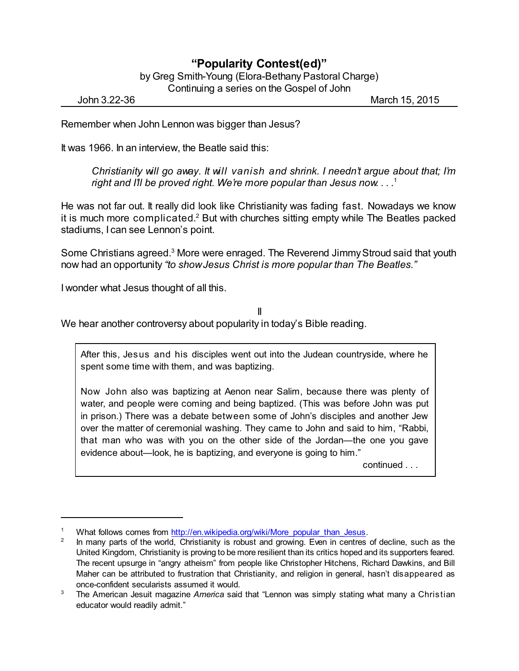## **"Popularity Contest(ed)"**

by Greg Smith-Young (Elora-Bethany Pastoral Charge) Continuing a series on the Gospel of John

John 3.22-36 March 15, 2015

Remember when John Lennon was bigger than Jesus?

It was 1966. In an interview, the Beatle said this:

*Christianity will go away. It will vanish and shrink. I needn't argue about that; I'm right and I'll be proved right. We're more popular than Jesus now. . . .* 1

He was not far out. It really did look like Christianity was fading fast. Nowadays we know it is much more complicated.<sup>2</sup> But with churches sitting empty while The Beatles packed stadiums, I can see Lennon's point.

Some Christians agreed.<sup>3</sup> More were enraged. The Reverend Jimmy Stroud said that youth now had an opportunity *"to showJesus Christ is more popular than The Beatles."*

I wonder what Jesus thought of all this.

II

We hear another controversy about popularity in today's Bible reading.

After this, Jesus and his disciples went out into the Judean countryside, where he spent some time with them, and was baptizing.

Now John also was baptizing at Aenon near Salim, because there was plenty of water, and people were coming and being baptized. (This was before John was put in prison.) There was a debate between some of John's disciples and another Jew over the matter of ceremonial washing. They came to John and said to him, "Rabbi, that man who was with you on the other side of the Jordan—the one you gave evidence about—look, he is baptizing, and everyone is going to him."

continued . . .

What follows comes from [http://en.wikipedia.org/wiki/More\\_popular\\_than\\_Jesus](http://en.wikipedia.org/wiki/More_popular_than_Jesus).

<sup>2</sup> In many parts of the world, Christianity is robust and growing. Even in centres of decline, such as the United Kingdom, Christianity is proving to be more resilient than its critics hoped and its supporters feared. The recent upsurge in "angry atheism" from people like Christopher Hitchens, Richard Dawkins, and Bill Maher can be attributed to frustration that Christianity, and religion in general, hasn't disappeared as once-confident secularists assumed it would.

<sup>3</sup> The American Jesuit magazine *America* said that "Lennon was simply stating what many a Christian educator would readily admit."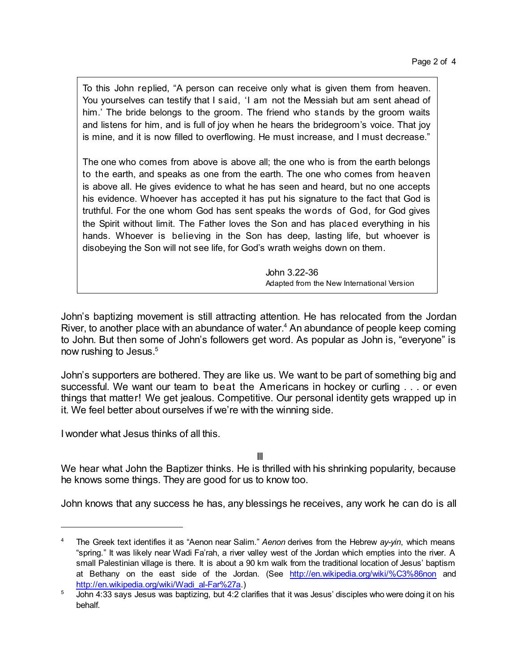To this John replied, "A person can receive only what is given them from heaven. You yourselves can testify that I said, 'I am not the Messiah but am sent ahead of him.' The bride belongs to the groom. The friend who stands by the groom waits and listens for him, and is full of joy when he hears the bridegroom's voice. That joy is mine, and it is now filled to overflowing. He must increase, and I must decrease."

The one who comes from above is above all; the one who is from the earth belongs to the earth, and speaks as one from the earth. The one who comes from heaven is above all. He gives evidence to what he has seen and heard, but no one accepts his evidence. Whoever has accepted it has put his signature to the fact that God is truthful. For the one whom God has sent speaks the words of God, for God gives the Spirit without limit. The Father loves the Son and has placed everything in his hands. Whoever is believing in the Son has deep, lasting life, but whoever is disobeying the Son will not see life, for God's wrath weighs down on them.

> John 3.22-36 Adapted from the New International Version

John's baptizing movement is still attracting attention. He has relocated from the Jordan River, to another place with an abundance of water. <sup>4</sup> An abundance of people keep coming to John. But then some of John's followers get word. As popular as John is, "everyone" is now rushing to Jesus.<sup>5</sup>

John's supporters are bothered. They are like us. We want to be part of something big and successful. We want our team to beat the Americans in hockey or curling . . . or even things that matter! We get jealous. Competitive. Our personal identity gets wrapped up in it. We feel better about ourselves if we're with the winning side.

I wonder what Jesus thinks of all this.

III

We hear what John the Baptizer thinks. He is thrilled with his shrinking popularity, because he knows some things. They are good for us to know too.

John knows that any success he has, any blessings he receives, any work he can do is all

<sup>4</sup> The Greek text identifies it as "Aenon near Salim." *Aenon* derives from the Hebrew *ay-yin*, which means "spring." It was likely near Wadi Fa'rah, a river valley west of the Jordan which empties into the river. A small Palestinian village is there. It is about a 90 km walk from the traditional location of Jesus' baptism at Bethany on the east side of the Jordan. (See <http://en.wikipedia.org/wiki/%C3%86non> and [http://en.wikipedia.org/wiki/Wadi\\_al-Far%27a](http://en.wikipedia.org/wiki/Wadi_al-Far%27a).)

 $\frac{5}{10}$  John 4:33 says Jesus was baptizing, but 4:2 clarifies that it was Jesus' disciples who were doing it on his behalf.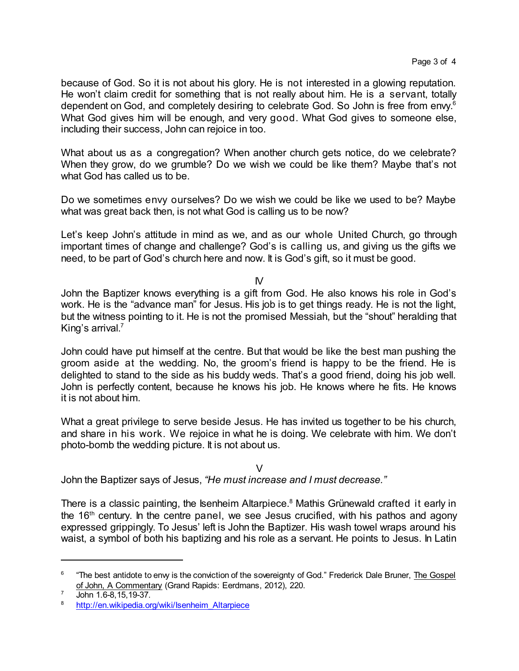because of God. So it is not about his glory. He is not interested in a glowing reputation. He won't claim credit for something that is not really about him. He is a servant, totally dependent on God, and completely desiring to celebrate God. So John is free from envy.<sup>6</sup> What God gives him will be enough, and very good. What God gives to someone else, including their success, John can rejoice in too.

What about us as a congregation? When another church gets notice, do we celebrate? When they grow, do we grumble? Do we wish we could be like them? Maybe that's not what God has called us to be.

Do we sometimes envy ourselves? Do we wish we could be like we used to be? Maybe what was great back then, is not what God is calling us to be now?

Let's keep John's attitude in mind as we, and as our whole United Church, go through important times of change and challenge? God's is calling us, and giving us the gifts we need, to be part of God's church here and now. It is God's gift, so it must be good.

IV

John the Baptizer knows everything is a gift from God. He also knows his role in God's work. He is the "advance man" for Jesus. His job is to get things ready. He is not the light, but the witness pointing to it. He is not the promised Messiah, but the "shout" heralding that King's arrival. 7

John could have put himself at the centre. But that would be like the best man pushing the groom aside at the wedding. No, the groom's friend is happy to be the friend. He is delighted to stand to the side as his buddy weds. That's a good friend, doing his job well. John is perfectly content, because he knows his job. He knows where he fits. He knows it is not about him.

What a great privilege to serve beside Jesus. He has invited us together to be his church, and share in his work. We rejoice in what he is doing. We celebrate with him. We don't photo-bomb the wedding picture. It is not about us.

 $\vee$ 

John the Baptizer says of Jesus, *"He must increase and I must decrease."*

There is a classic painting, the Isenheim Altarpiece.<sup>8</sup> Mathis Grünewald crafted it early in the 16<sup>th</sup> century. In the centre panel, we see Jesus crucified, with his pathos and agony expressed grippingly. To Jesus' left is John the Baptizer. His wash towel wraps around his waist, a symbol of both his baptizing and his role as a servant. He points to Jesus. In Latin

<sup>6</sup> "The best antidote to envy is the conviction of the sovereignty of God." Frederick Dale Bruner, The Gospel of John, A Commentary (Grand Rapids: Eerdmans, 2012), 220.

<sup>7</sup> John 1.6-8,15,19-37.

<sup>&</sup>lt;sup>8</sup> [http://en.wikipedia.org/wiki/Isenheim\\_Altarpiece](http://en.wikipedia.org/wiki/Isenheim_Altarpiece)